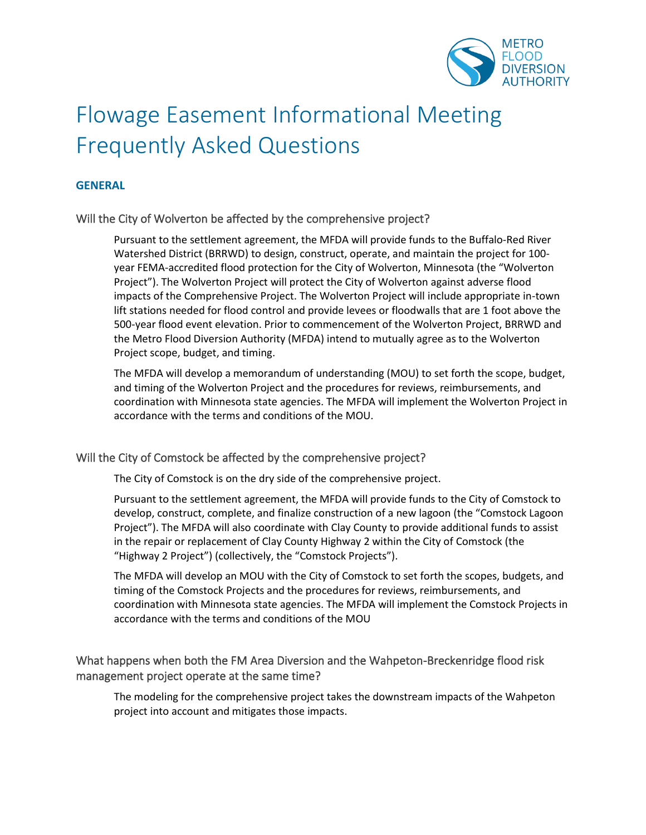

# Flowage Easement Informational Meeting Frequently Asked Questions

# **GENERAL**

## Will the City of Wolverton be affected by the comprehensive project?

Pursuant to the settlement agreement, the MFDA will provide funds to the Buffalo-Red River Watershed District (BRRWD) to design, construct, operate, and maintain the project for 100 year FEMA-accredited flood protection for the City of Wolverton, Minnesota (the "Wolverton Project"). The Wolverton Project will protect the City of Wolverton against adverse flood impacts of the Comprehensive Project. The Wolverton Project will include appropriate in-town lift stations needed for flood control and provide levees or floodwalls that are 1 foot above the 500-year flood event elevation. Prior to commencement of the Wolverton Project, BRRWD and the Metro Flood Diversion Authority (MFDA) intend to mutually agree as to the Wolverton Project scope, budget, and timing.

The MFDA will develop a memorandum of understanding (MOU) to set forth the scope, budget, and timing of the Wolverton Project and the procedures for reviews, reimbursements, and coordination with Minnesota state agencies. The MFDA will implement the Wolverton Project in accordance with the terms and conditions of the MOU.

## Will the City of Comstock be affected by the comprehensive project?

The City of Comstock is on the dry side of the comprehensive project.

Pursuant to the settlement agreement, the MFDA will provide funds to the City of Comstock to develop, construct, complete, and finalize construction of a new lagoon (the "Comstock Lagoon Project"). The MFDA will also coordinate with Clay County to provide additional funds to assist in the repair or replacement of Clay County Highway 2 within the City of Comstock (the "Highway 2 Project") (collectively, the "Comstock Projects").

The MFDA will develop an MOU with the City of Comstock to set forth the scopes, budgets, and timing of the Comstock Projects and the procedures for reviews, reimbursements, and coordination with Minnesota state agencies. The MFDA will implement the Comstock Projects in accordance with the terms and conditions of the MOU

# What happens when both the FM Area Diversion and the Wahpeton-Breckenridge flood risk management project operate at the same time?

The modeling for the comprehensive project takes the downstream impacts of the Wahpeton project into account and mitigates those impacts.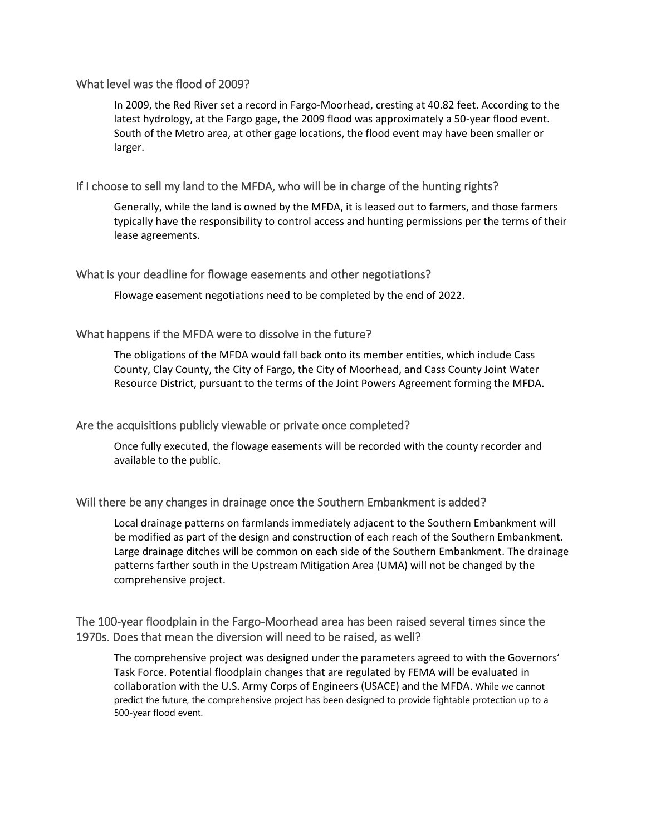# What level was the flood of 2009?

In 2009, the Red River set a record in Fargo-Moorhead, cresting at 40.82 feet. According to the latest hydrology, at the Fargo gage, the 2009 flood was approximately a 50-year flood event. South of the Metro area, at other gage locations, the flood event may have been smaller or larger.

# If I choose to sell my land to the MFDA, who will be in charge of the hunting rights?

Generally, while the land is owned by the MFDA, it is leased out to farmers, and those farmers typically have the responsibility to control access and hunting permissions per the terms of their lease agreements.

## What is your deadline for flowage easements and other negotiations?

Flowage easement negotiations need to be completed by the end of 2022.

## What happens if the MFDA were to dissolve in the future?

The obligations of the MFDA would fall back onto its member entities, which include Cass County, Clay County, the City of Fargo, the City of Moorhead, and Cass County Joint Water Resource District, pursuant to the terms of the Joint Powers Agreement forming the MFDA.

## Are the acquisitions publicly viewable or private once completed?

Once fully executed, the flowage easements will be recorded with the county recorder and available to the public.

## Will there be any changes in drainage once the Southern Embankment is added?

Local drainage patterns on farmlands immediately adjacent to the Southern Embankment will be modified as part of the design and construction of each reach of the Southern Embankment. Large drainage ditches will be common on each side of the Southern Embankment. The drainage patterns farther south in the Upstream Mitigation Area (UMA) will not be changed by the comprehensive project.

# The 100-year floodplain in the Fargo-Moorhead area has been raised several times since the 1970s. Does that mean the diversion will need to be raised, as well?

The comprehensive project was designed under the parameters agreed to with the Governors' Task Force. Potential floodplain changes that are regulated by FEMA will be evaluated in collaboration with the U.S. Army Corps of Engineers (USACE) and the MFDA. While we cannot predict the future, the comprehensive project has been designed to provide fightable protection up to a 500-year flood event.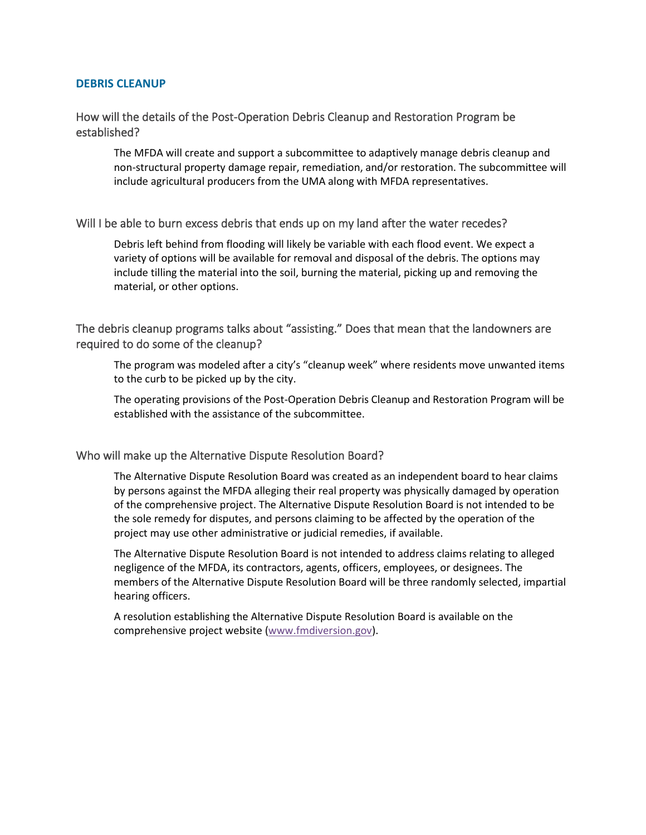## **DEBRIS CLEANUP**

# How will the details of the Post-Operation Debris Cleanup and Restoration Program be established?

The MFDA will create and support a subcommittee to adaptively manage debris cleanup and non-structural property damage repair, remediation, and/or restoration. The subcommittee will include agricultural producers from the UMA along with MFDA representatives.

## Will I be able to burn excess debris that ends up on my land after the water recedes?

Debris left behind from flooding will likely be variable with each flood event. We expect a variety of options will be available for removal and disposal of the debris. The options may include tilling the material into the soil, burning the material, picking up and removing the material, or other options.

The debris cleanup programs talks about "assisting." Does that mean that the landowners are required to do some of the cleanup?

The program was modeled after a city's "cleanup week" where residents move unwanted items to the curb to be picked up by the city.

The operating provisions of the Post-Operation Debris Cleanup and Restoration Program will be established with the assistance of the subcommittee.

## Who will make up the Alternative Dispute Resolution Board?

The Alternative Dispute Resolution Board was created as an independent board to hear claims by persons against the MFDA alleging their real property was physically damaged by operation of the comprehensive project. The Alternative Dispute Resolution Board is not intended to be the sole remedy for disputes, and persons claiming to be affected by the operation of the project may use other administrative or judicial remedies, if available.

The Alternative Dispute Resolution Board is not intended to address claims relating to alleged negligence of the MFDA, its contractors, agents, officers, employees, or designees. The members of the Alternative Dispute Resolution Board will be three randomly selected, impartial hearing officers.

A resolution establishing the Alternative Dispute Resolution Board is available on the comprehensive project website [\(www.fmdiversion.gov\)](http://www.fmdiversion.gov/).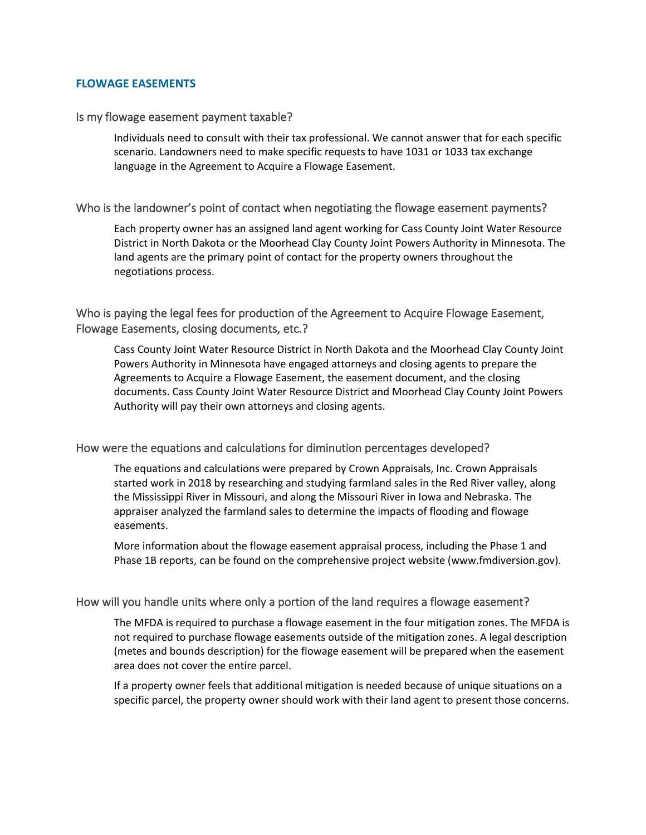## **FLOWAGE EASEMENTS**

#### Is my flowage easement payment taxable?

Individuals need to consult with their tax professional. We cannot answer that for each specific scenario. Landowners need to make specific requests to have 1031 or 1033 tax exchange language in the Agreement to Acquire a Flowage Easement.

## Who is the landowner's point of contact when negotiating the flowage easement payments?

Each property owner has an assigned land agent working for Cass County Joint Water Resource District in North Dakota or the Moorhead Clay County Joint Powers Authority in Minnesota. The land agents are the primary point of contact for the property owners throughout the negotiations process.

Who is paying the legal fees for production of the Agreement to Acquire Flowage Easement, Flowage Easements, closing documents, etc.?

Cass County Joint Water Resource District in North Dakota and the Moorhead Clay County Joint Powers Authority in Minnesota have engaged attorneys and closing agents to prepare the Agreements to Acquire a Flowage Easement, the easement document, and the closing documents. Cass County Joint Water Resource District and Moorhead Clay County Joint Powers Authority will pay their own attorneys and closing agents.

## How were the equations and calculations for diminution percentages developed?

The equations and calculations were prepared by Crown Appraisals, Inc. Crown Appraisals started work in 2018 by researching and studying farmland sales in the Red River valley, along the Mississippi River in Missouri, and along the Missouri River in Iowa and Nebraska. The appraiser analyzed the farmland sales to determine the impacts of flooding and flowage easements.

More information about the flowage easement appraisal process, including the Phase 1 and Phase 1B reports, can be found on the comprehensive project website [\(www.fmdiversion.gov\)](http://www.fmdiversion.gov/).

#### How will you handle units where only a portion of the land requires a flowage easement?

The MFDA is required to purchase a flowage easement in the four mitigation zones. The MFDA is not required to purchase flowage easements outside of the mitigation zones. A legal description (metes and bounds description) for the flowage easement will be prepared when the easement area does not cover the entire parcel.

If a property owner feels that additional mitigation is needed because of unique situations on a specific parcel, the property owner should work with their land agent to present those concerns.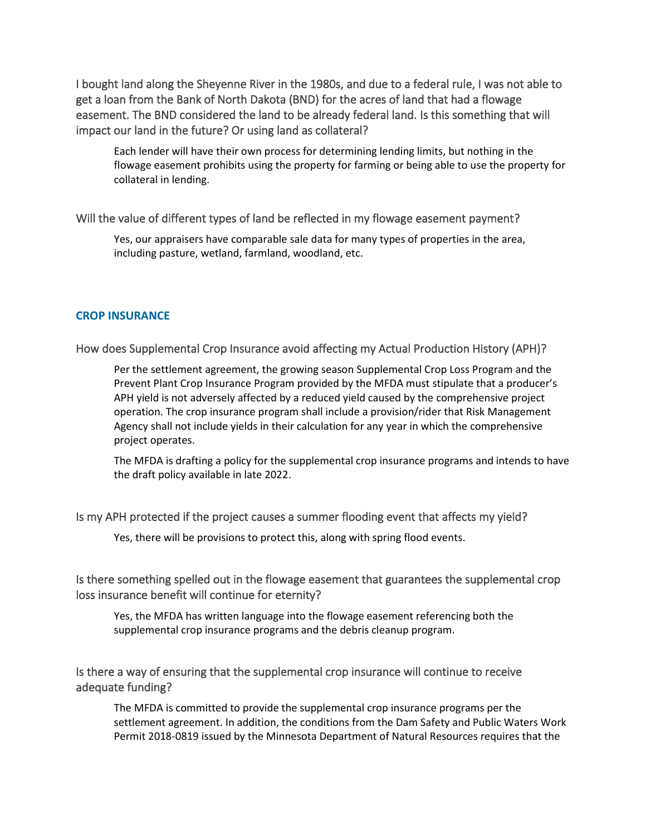I bought land along the Sheyenne River in the 1980s, and due to a federal rule, I was not able to get a loan from the Bank of North Dakota (BND) for the acres of land that had a flowage easement. The BND considered the land to be already federal land. Is this something that will impact our land in the future? Or using land as collateral?

Each lender will have their own process for determining lending limits, but nothing in the flowage easement prohibits using the property for farming or being able to use the property for collateral in lending.

## Will the value of different types of land be reflected in my flowage easement payment?

Yes, our appraisers have comparable sale data for many types of properties in the area, including pasture, wetland, farmland, woodland, etc.

## **CROP INSURANCE**

How does Supplemental Crop Insurance avoid affecting my Actual Production History (APH)?

Per the settlement agreement, the growing season Supplemental Crop Loss Program and the Prevent Plant Crop Insurance Program provided by the MFDA must stipulate that a producer's APH yield is not adversely affected by a reduced yield caused by the comprehensive project operation. The crop insurance program shall include a provision/rider that Risk Management Agency shall not include yields in their calculation for any year in which the comprehensive project operates.

The MFDA is drafting a policy for the supplemental crop insurance programs and intends to have the draft policy available in late 2022.

## Is my APH protected if the project causes a summer flooding event that affects my yield?

Yes, there will be provisions to protect this, along with spring flood events.

# Is there something spelled out in the flowage easement that guarantees the supplemental crop loss insurance benefit will continue for eternity?

Yes, the MFDA has written language into the flowage easement referencing both the supplemental crop insurance programs and the debris cleanup program.

# Is there a way of ensuring that the supplemental crop insurance will continue to receive adequate funding?

The MFDA is committed to provide the supplemental crop insurance programs per the settlement agreement. In addition, the conditions from the Dam Safety and Public Waters Work Permit 2018-0819 issued by the Minnesota Department of Natural Resources requires that the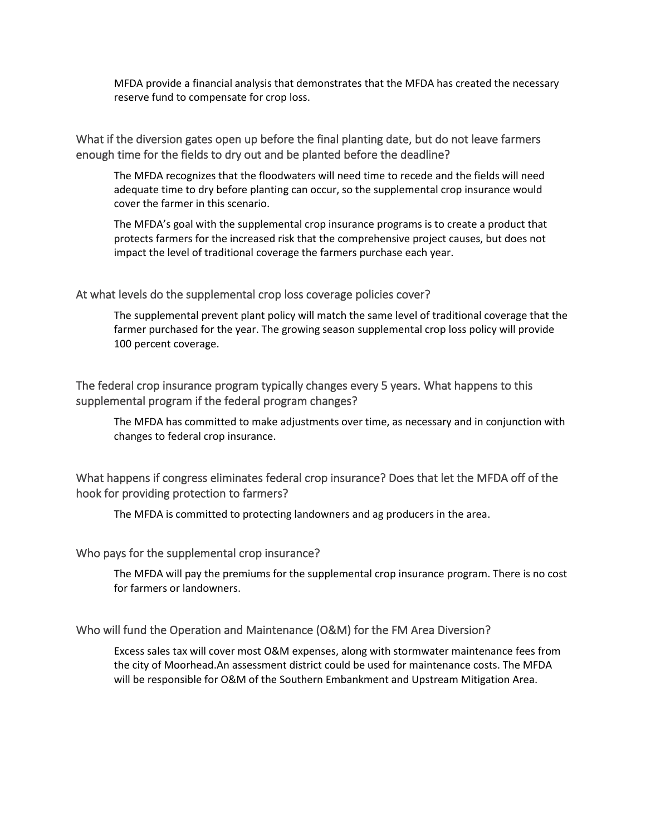MFDA provide a financial analysis that demonstrates that the MFDA has created the necessary reserve fund to compensate for crop loss.

What if the diversion gates open up before the final planting date, but do not leave farmers enough time for the fields to dry out and be planted before the deadline?

The MFDA recognizes that the floodwaters will need time to recede and the fields will need adequate time to dry before planting can occur, so the supplemental crop insurance would cover the farmer in this scenario.

The MFDA's goal with the supplemental crop insurance programs is to create a product that protects farmers for the increased risk that the comprehensive project causes, but does not impact the level of traditional coverage the farmers purchase each year.

## At what levels do the supplemental crop loss coverage policies cover?

The supplemental prevent plant policy will match the same level of traditional coverage that the farmer purchased for the year. The growing season supplemental crop loss policy will provide 100 percent coverage.

The federal crop insurance program typically changes every 5 years. What happens to this supplemental program if the federal program changes?

The MFDA has committed to make adjustments over time, as necessary and in conjunction with changes to federal crop insurance.

# What happens if congress eliminates federal crop insurance? Does that let the MFDA off of the hook for providing protection to farmers?

The MFDA is committed to protecting landowners and ag producers in the area.

## Who pays for the supplemental crop insurance?

The MFDA will pay the premiums for the supplemental crop insurance program. There is no cost for farmers or landowners.

## Who will fund the Operation and Maintenance (O&M) for the FM Area Diversion?

Excess sales tax will cover most O&M expenses, along with stormwater maintenance fees from the city of Moorhead.An assessment district could be used for maintenance costs. The MFDA will be responsible for O&M of the Southern Embankment and Upstream Mitigation Area.